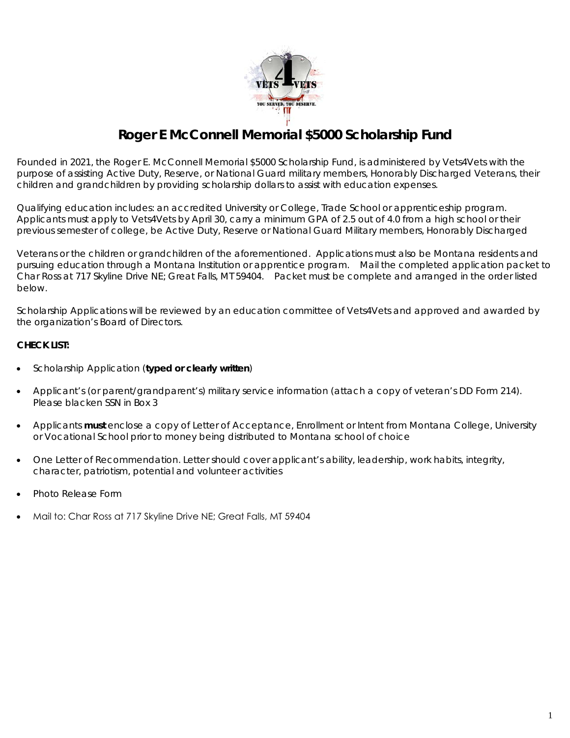

## **Roger E McConnell Memorial \$5000 Scholarship Fund**

Founded in 2021, the Roger E. McConnell Memorial \$5000 Scholarship Fund, is administered by Vets4Vets with the purpose of assisting Active Duty, Reserve, or National Guard military members, Honorably Discharged Veterans, their children and grandchildren by providing scholarship dollars to assist with education expenses.

Qualifying education includes: an accredited University or College, Trade School or apprenticeship program. Applicants must apply to Vets4Vets by April 30, carry a minimum GPA of 2.5 out of 4.0 from a high school or their previous semester of college, be Active Duty, Reserve or National Guard Military members, Honorably Discharged

Veterans or the children or grandchildren of the aforementioned. Applications must also be Montana residents and pursuing education through a Montana Institution or apprentice program. Mail the completed application packet to Char Ross at 717 Skyline Drive NE; Great Falls, MT 59404. Packet must be complete and arranged in the order listed below.

Scholarship Applications will be reviewed by an education committee of Vets4Vets and approved and awarded by the organization's Board of Directors.

#### **CHECK LIST:**

- Scholarship Application (**typed or clearly written**)
- Applicant's (or parent/grandparent's) military service information (attach a copy of veteran's DD Form 214). Please blacken SSN in Box 3
- Applicants **must** enclose a copy of Letter of Acceptance, Enrollment or Intent from Montana College, University or Vocational School prior to money being distributed to Montana school of choice
- One Letter of Recommendation. Letter should cover applicant's ability, leadership, work habits, integrity, character, patriotism, potential and volunteer activities
- Photo Release Form
- Mail to: Char Ross at 717 Skyline Drive NE; Great Falls, MT 59404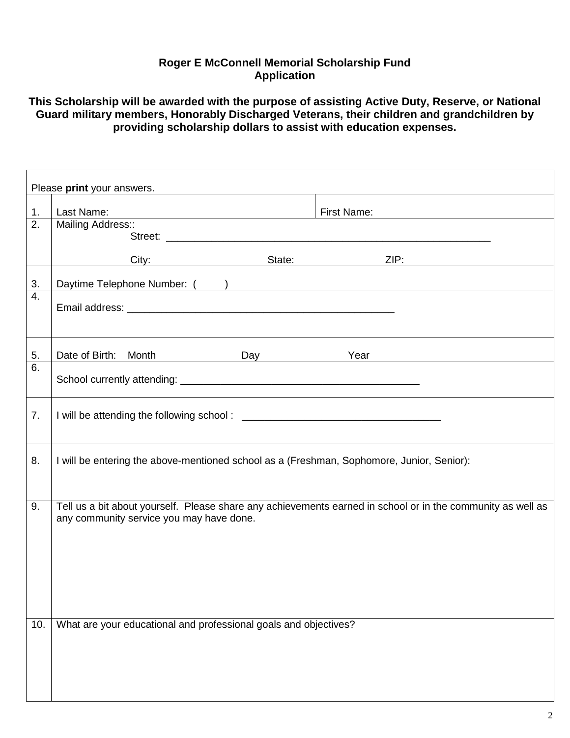### **Roger E McConnell Memorial Scholarship Fund Application**

**This Scholarship will be awarded with the purpose of assisting Active Duty, Reserve, or National Guard military members, Honorably Discharged Veterans, their children and grandchildren by providing scholarship dollars to assist with education expenses.** 

| Please print your answers. |                                                                                                                                                                                                                                                                  |             |  |             |                                                 |  |
|----------------------------|------------------------------------------------------------------------------------------------------------------------------------------------------------------------------------------------------------------------------------------------------------------|-------------|--|-------------|-------------------------------------------------|--|
| 1.                         | Last Name:                                                                                                                                                                                                                                                       |             |  | First Name: | <u> 1980 - Jan Samuel Barbara, politik a po</u> |  |
| $\overline{2}$ .           | <u> 1980 - Johann Barnett, fransk politiker (d. 1980)</u><br>Mailing Address::                                                                                                                                                                                   |             |  |             |                                                 |  |
|                            |                                                                                                                                                                                                                                                                  |             |  |             |                                                 |  |
|                            |                                                                                                                                                                                                                                                                  | City: City: |  |             | ZIP:                                            |  |
| 3.                         | Daytime Telephone Number: ( )                                                                                                                                                                                                                                    |             |  |             |                                                 |  |
| 4.                         |                                                                                                                                                                                                                                                                  |             |  |             |                                                 |  |
|                            |                                                                                                                                                                                                                                                                  |             |  |             |                                                 |  |
|                            |                                                                                                                                                                                                                                                                  |             |  |             |                                                 |  |
| 5.                         |                                                                                                                                                                                                                                                                  |             |  |             |                                                 |  |
| 6.                         |                                                                                                                                                                                                                                                                  |             |  |             |                                                 |  |
|                            |                                                                                                                                                                                                                                                                  |             |  |             |                                                 |  |
|                            |                                                                                                                                                                                                                                                                  |             |  |             |                                                 |  |
|                            |                                                                                                                                                                                                                                                                  |             |  |             |                                                 |  |
|                            |                                                                                                                                                                                                                                                                  |             |  |             |                                                 |  |
| 8.                         | I will be entering the above-mentioned school as a (Freshman, Sophomore, Junior, Senior):                                                                                                                                                                        |             |  |             |                                                 |  |
|                            |                                                                                                                                                                                                                                                                  |             |  |             |                                                 |  |
|                            |                                                                                                                                                                                                                                                                  |             |  |             |                                                 |  |
|                            |                                                                                                                                                                                                                                                                  |             |  |             |                                                 |  |
|                            |                                                                                                                                                                                                                                                                  |             |  |             |                                                 |  |
|                            |                                                                                                                                                                                                                                                                  |             |  |             |                                                 |  |
|                            |                                                                                                                                                                                                                                                                  |             |  |             |                                                 |  |
|                            |                                                                                                                                                                                                                                                                  |             |  |             |                                                 |  |
|                            |                                                                                                                                                                                                                                                                  |             |  |             |                                                 |  |
| 10.                        |                                                                                                                                                                                                                                                                  |             |  |             |                                                 |  |
|                            |                                                                                                                                                                                                                                                                  |             |  |             |                                                 |  |
|                            |                                                                                                                                                                                                                                                                  |             |  |             |                                                 |  |
|                            |                                                                                                                                                                                                                                                                  |             |  |             |                                                 |  |
| 7.<br>9.                   | Date of Birth: Month Day Day Year<br>Tell us a bit about yourself. Please share any achievements earned in school or in the community as well as<br>any community service you may have done.<br>What are your educational and professional goals and objectives? |             |  |             |                                                 |  |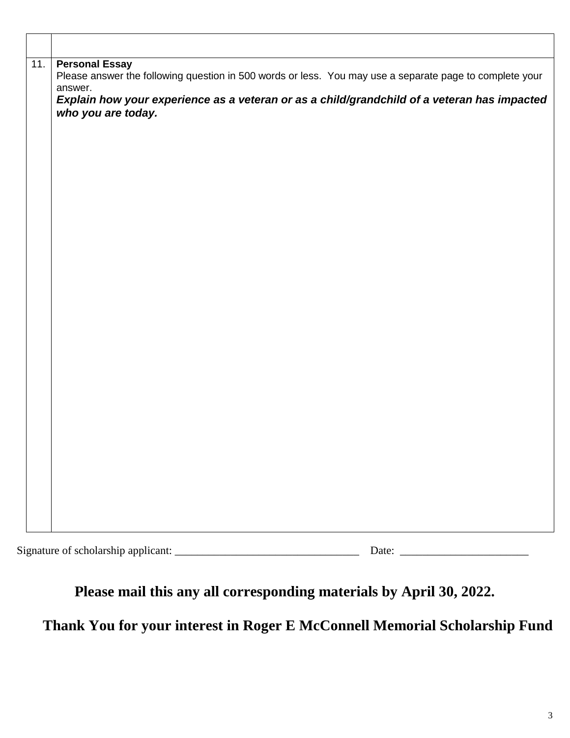| 11. | <b>Personal Essay</b><br>Please answer the following question in 500 words or less. You may use a separate page to complete your<br>answer. |  |  |  |  |
|-----|---------------------------------------------------------------------------------------------------------------------------------------------|--|--|--|--|
|     | Explain how your experience as a veteran or as a child/grandchild of a veteran has impacted<br>who you are today.                           |  |  |  |  |
|     |                                                                                                                                             |  |  |  |  |
|     |                                                                                                                                             |  |  |  |  |
|     |                                                                                                                                             |  |  |  |  |
|     |                                                                                                                                             |  |  |  |  |
|     |                                                                                                                                             |  |  |  |  |
|     |                                                                                                                                             |  |  |  |  |
|     |                                                                                                                                             |  |  |  |  |
|     |                                                                                                                                             |  |  |  |  |
|     |                                                                                                                                             |  |  |  |  |
|     |                                                                                                                                             |  |  |  |  |
|     |                                                                                                                                             |  |  |  |  |
|     |                                                                                                                                             |  |  |  |  |

| $\sim$<br><b>Construction</b><br>$\sim$<br>-scholar<br>Signature of<br>addhe<br>rsnir<br>$\alpha$ |  |
|---------------------------------------------------------------------------------------------------|--|
|                                                                                                   |  |

# **Please mail this any all corresponding materials by April 30, 2022.**

**Thank You for your interest in Roger E McConnell Memorial Scholarship Fund**